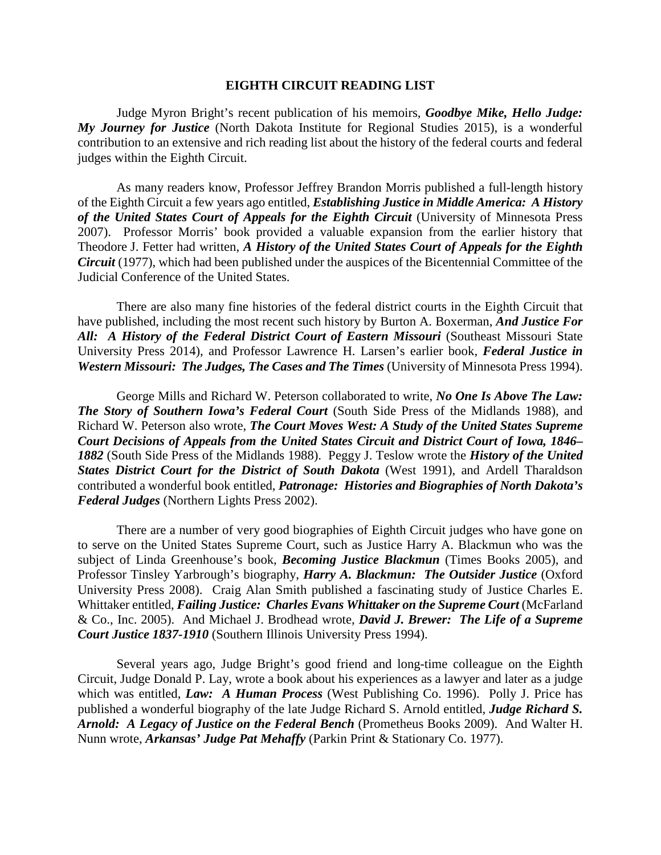## **EIGHTH CIRCUIT READING LIST**

Judge Myron Bright's recent publication of his memoirs, *Goodbye Mike, Hello Judge: My Journey for Justice* (North Dakota Institute for Regional Studies 2015), is a wonderful contribution to an extensive and rich reading list about the history of the federal courts and federal judges within the Eighth Circuit.

As many readers know, Professor Jeffrey Brandon Morris published a full-length history of the Eighth Circuit a few years ago entitled, *Establishing Justice in Middle America: A History of the United States Court of Appeals for the Eighth Circuit* (University of Minnesota Press 2007). Professor Morris' book provided a valuable expansion from the earlier history that Theodore J. Fetter had written, *A History of the United States Court of Appeals for the Eighth Circuit* (1977), which had been published under the auspices of the Bicentennial Committee of the Judicial Conference of the United States.

There are also many fine histories of the federal district courts in the Eighth Circuit that have published, including the most recent such history by Burton A. Boxerman, *And Justice For All: A History of the Federal District Court of Eastern Missouri* (Southeast Missouri State University Press 2014), and Professor Lawrence H. Larsen's earlier book, *Federal Justice in Western Missouri: The Judges, The Cases and The Times* (University of Minnesota Press 1994).

George Mills and Richard W. Peterson collaborated to write, *No One Is Above The Law: The Story of Southern Iowa's Federal Court* (South Side Press of the Midlands 1988), and Richard W. Peterson also wrote, *The Court Moves West: A Study of the United States Supreme Court Decisions of Appeals from the United States Circuit and District Court of Iowa, 1846– 1882* (South Side Press of the Midlands 1988). Peggy J. Teslow wrote the *History of the United States District Court for the District of South Dakota* (West 1991), and Ardell Tharaldson contributed a wonderful book entitled, *Patronage: Histories and Biographies of North Dakota's Federal Judges* (Northern Lights Press 2002).

There are a number of very good biographies of Eighth Circuit judges who have gone on to serve on the United States Supreme Court, such as Justice Harry A. Blackmun who was the subject of Linda Greenhouse's book, *Becoming Justice Blackmun* (Times Books 2005), and Professor Tinsley Yarbrough's biography, *Harry A. Blackmun: The Outsider Justice* (Oxford University Press 2008). Craig Alan Smith published a fascinating study of Justice Charles E. Whittaker entitled, *Failing Justice: Charles Evans Whittaker on the Supreme Court* (McFarland & Co., Inc. 2005). And Michael J. Brodhead wrote, *David J. Brewer: The Life of a Supreme Court Justice 1837-1910* (Southern Illinois University Press 1994).

Several years ago, Judge Bright's good friend and long-time colleague on the Eighth Circuit, Judge Donald P. Lay, wrote a book about his experiences as a lawyer and later as a judge which was entitled, *Law: A Human Process* (West Publishing Co. 1996). Polly J. Price has published a wonderful biography of the late Judge Richard S. Arnold entitled, *Judge Richard S. Arnold: A Legacy of Justice on the Federal Bench* (Prometheus Books 2009). And Walter H. Nunn wrote, *Arkansas' Judge Pat Mehaffy* (Parkin Print & Stationary Co. 1977).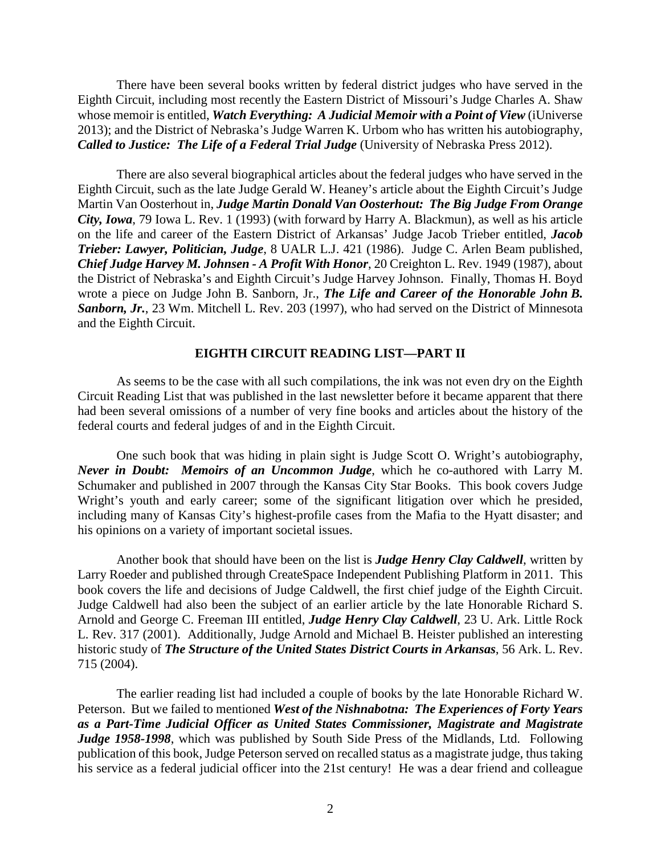There have been several books written by federal district judges who have served in the Eighth Circuit, including most recently the Eastern District of Missouri's Judge Charles A. Shaw whose memoir is entitled, *Watch Everything: A Judicial Memoir with a Point of View* (iUniverse 2013); and the District of Nebraska's Judge Warren K. Urbom who has written his autobiography, *Called to Justice: The Life of a Federal Trial Judge* (University of Nebraska Press 2012).

There are also several biographical articles about the federal judges who have served in the Eighth Circuit, such as the late Judge Gerald W. Heaney's article about the Eighth Circuit's Judge Martin Van Oosterhout in, *Judge Martin Donald Van Oosterhout: The Big Judge From Orange City, Iowa*, 79 Iowa L. Rev. 1 (1993) (with forward by Harry A. Blackmun), as well as his article on the life and career of the Eastern District of Arkansas' Judge Jacob Trieber entitled, *Jacob Trieber: Lawyer, Politician, Judge*, 8 UALR L.J. 421 (1986). Judge C. Arlen Beam published, *Chief Judge Harvey M. Johnsen - A Profit With Honor*, 20 Creighton L. Rev. 1949 (1987), about the District of Nebraska's and Eighth Circuit's Judge Harvey Johnson. Finally, Thomas H. Boyd wrote a piece on Judge John B. Sanborn, Jr., *The Life and Career of the Honorable John B. Sanborn, Jr.*, 23 Wm. Mitchell L. Rev. 203 (1997), who had served on the District of Minnesota and the Eighth Circuit.

## **EIGHTH CIRCUIT READING LIST—PART II**

As seems to be the case with all such compilations, the ink was not even dry on the Eighth Circuit Reading List that was published in the last newsletter before it became apparent that there had been several omissions of a number of very fine books and articles about the history of the federal courts and federal judges of and in the Eighth Circuit.

One such book that was hiding in plain sight is Judge Scott O. Wright's autobiography, *Never in Doubt: Memoirs of an Uncommon Judge*, which he co-authored with Larry M. Schumaker and published in 2007 through the Kansas City Star Books. This book covers Judge Wright's youth and early career; some of the significant litigation over which he presided, including many of Kansas City's highest-profile cases from the Mafia to the Hyatt disaster; and his opinions on a variety of important societal issues.

Another book that should have been on the list is *Judge Henry Clay Caldwell*, written by Larry Roeder and published through CreateSpace Independent Publishing Platform in 2011. This book covers the life and decisions of Judge Caldwell, the first chief judge of the Eighth Circuit. Judge Caldwell had also been the subject of an earlier article by the late Honorable Richard S. Arnold and George C. Freeman III entitled, *Judge Henry Clay Caldwell*, 23 U. Ark. Little Rock L. Rev. 317 (2001). Additionally, Judge Arnold and Michael B. Heister published an interesting historic study of *The Structure of the United States District Courts in Arkansas*, 56 Ark. L. Rev. 715 (2004).

The earlier reading list had included a couple of books by the late Honorable Richard W. Peterson. But we failed to mentioned *West of the Nishnabotna: The Experiences of Forty Years as a Part-Time Judicial Officer as United States Commissioner, Magistrate and Magistrate Judge 1958-1998*, which was published by South Side Press of the Midlands, Ltd. Following publication of this book, Judge Peterson served on recalled status as a magistrate judge, thus taking his service as a federal judicial officer into the 21st century! He was a dear friend and colleague